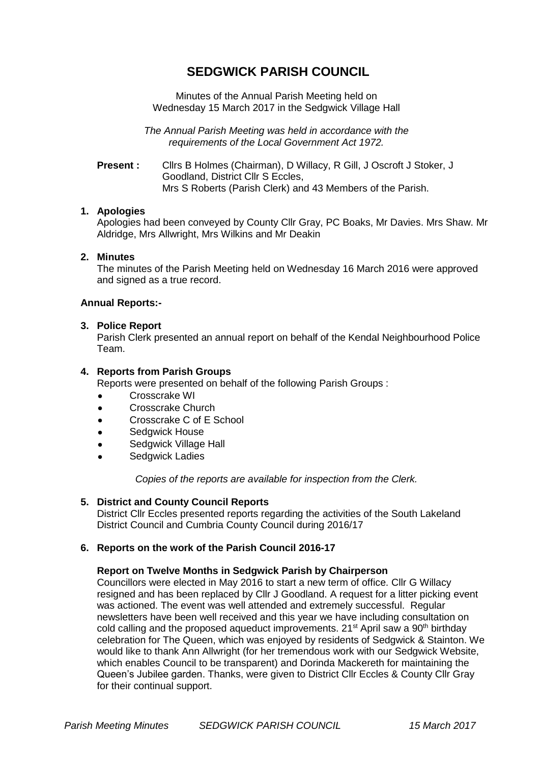# **SEDGWICK PARISH COUNCIL**

Minutes of the Annual Parish Meeting held on Wednesday 15 March 2017 in the Sedgwick Village Hall

*The Annual Parish Meeting was held in accordance with the requirements of the Local Government Act 1972.*

**Present :** Cllrs B Holmes (Chairman), D Willacy, R Gill, J Oscroft J Stoker, J Goodland, District Cllr S Eccles, Mrs S Roberts (Parish Clerk) and 43 Members of the Parish.

## **1. Apologies**

Apologies had been conveyed by County Cllr Gray, PC Boaks, Mr Davies. Mrs Shaw. Mr Aldridge, Mrs Allwright, Mrs Wilkins and Mr Deakin

## **2. Minutes**

The minutes of the Parish Meeting held on Wednesday 16 March 2016 were approved and signed as a true record.

## **Annual Reports:-**

## **3. Police Report**

Parish Clerk presented an annual report on behalf of the Kendal Neighbourhood Police Team.

## **4. Reports from Parish Groups**

Reports were presented on behalf of the following Parish Groups :

- Crosscrake WI
- Crosscrake Church
- Crosscrake C of E School
- Sedgwick House
- Sedgwick Village Hall
- Sedgwick Ladies

*Copies of the reports are available for inspection from the Clerk.*

## **5. District and County Council Reports**

District Cllr Eccles presented reports regarding the activities of the South Lakeland District Council and Cumbria County Council during 2016/17

## **6. Reports on the work of the Parish Council 2016-17**

#### **Report on Twelve Months in Sedgwick Parish by Chairperson**

Councillors were elected in May 2016 to start a new term of office. Cllr G Willacy resigned and has been replaced by Cllr J Goodland. A request for a litter picking event was actioned. The event was well attended and extremely successful. Regular newsletters have been well received and this year we have including consultation on cold calling and the proposed aqueduct improvements.  $21<sup>st</sup>$  April saw a  $90<sup>th</sup>$  birthday celebration for The Queen, which was enjoyed by residents of Sedgwick & Stainton. We would like to thank Ann Allwright (for her tremendous work with our Sedgwick Website, which enables Council to be transparent) and Dorinda Mackereth for maintaining the Queen's Jubilee garden. Thanks, were given to District Cllr Eccles & County Cllr Gray for their continual support.